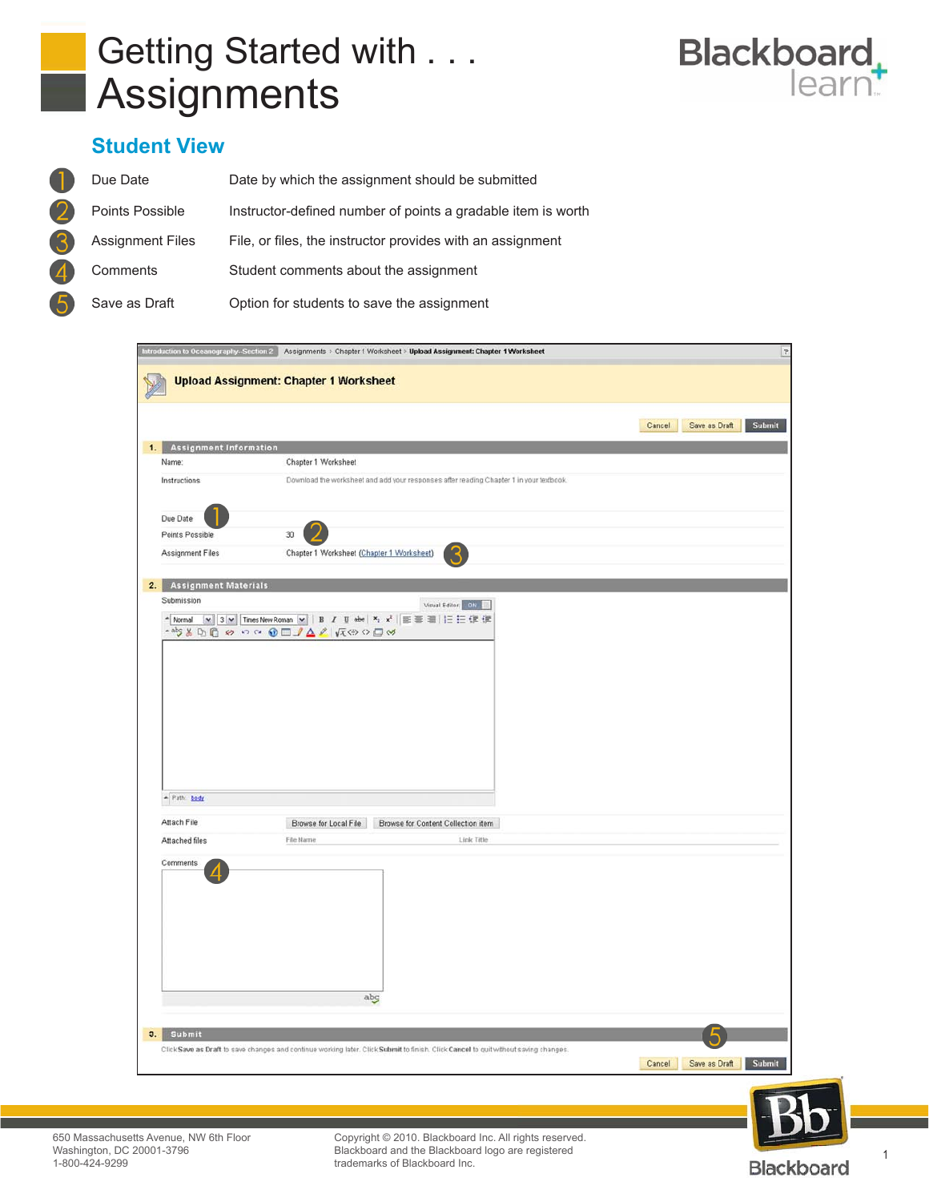



## **Student View**

| Due Date                | Date by which the assignment should be submitted             |
|-------------------------|--------------------------------------------------------------|
| Points Possible         | Instructor-defined number of points a gradable item is worth |
| <b>Assignment Files</b> | File, or files, the instructor provides with an assignment   |
| Comments                | Student comments about the assignment                        |
| Save as Draft           | Option for students to save the assignment                   |





Blackboard and the Blackboard logo are registered<br>trademarks of Blackboard Inc. Copyright © 2010. Blackboard Inc. All rights reserved. trademarks of Blackboard Inc.

1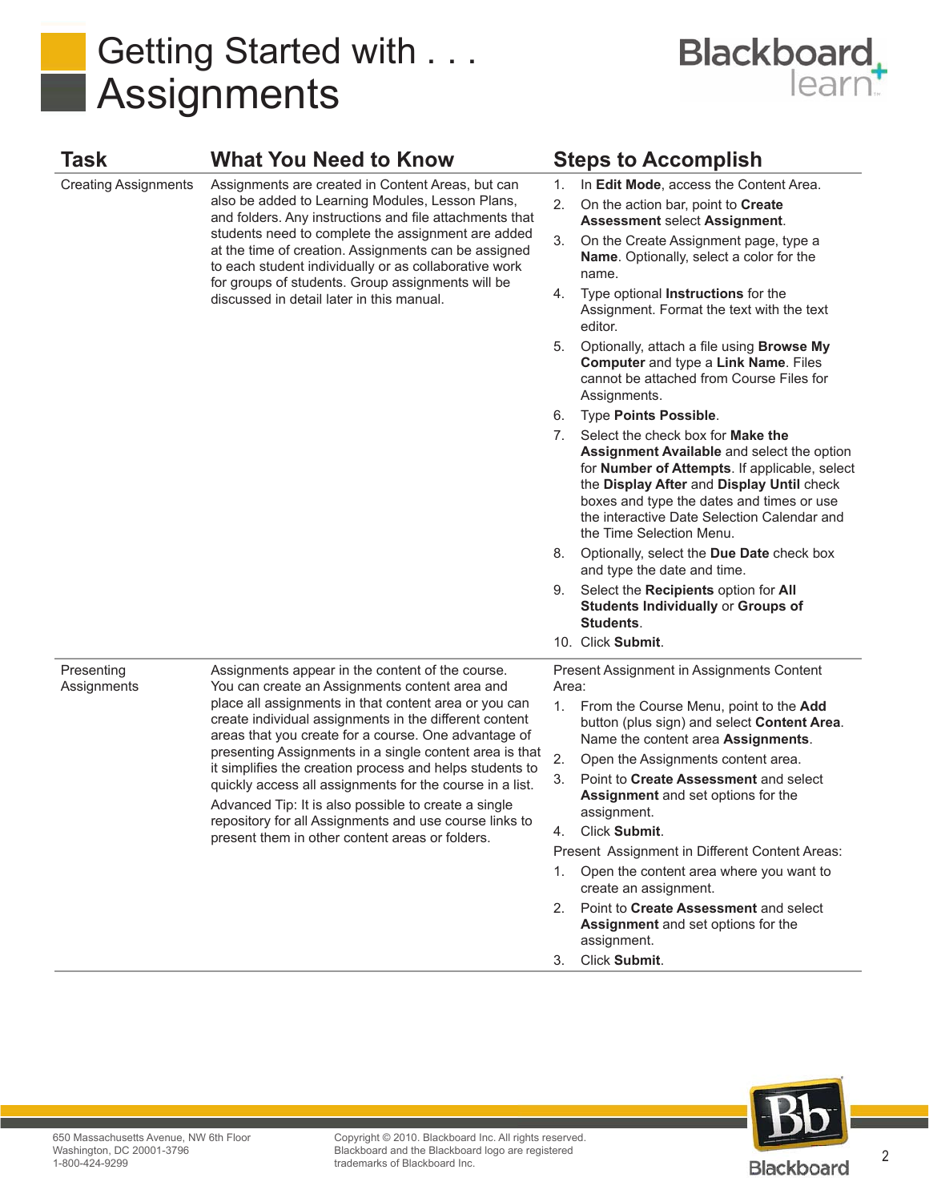



| <b>Task</b>                 | <b>What You Need to Know</b>                                                                                                                                                                                                                                                                                                                                                                                                                                                                                                                                                                                                          |                                                    | <b>Steps to Accomplish</b>                                                                                                                                                                                                                                                                                                                                                                             |  |
|-----------------------------|---------------------------------------------------------------------------------------------------------------------------------------------------------------------------------------------------------------------------------------------------------------------------------------------------------------------------------------------------------------------------------------------------------------------------------------------------------------------------------------------------------------------------------------------------------------------------------------------------------------------------------------|----------------------------------------------------|--------------------------------------------------------------------------------------------------------------------------------------------------------------------------------------------------------------------------------------------------------------------------------------------------------------------------------------------------------------------------------------------------------|--|
| <b>Creating Assignments</b> | Assignments are created in Content Areas, but can<br>also be added to Learning Modules, Lesson Plans,<br>and folders. Any instructions and file attachments that<br>students need to complete the assignment are added<br>at the time of creation. Assignments can be assigned<br>to each student individually or as collaborative work<br>for groups of students. Group assignments will be<br>discussed in detail later in this manual.                                                                                                                                                                                             | 1.<br>2.                                           | In Edit Mode, access the Content Area.<br>On the action bar, point to Create<br><b>Assessment select Assignment.</b>                                                                                                                                                                                                                                                                                   |  |
|                             |                                                                                                                                                                                                                                                                                                                                                                                                                                                                                                                                                                                                                                       | 3.                                                 | On the Create Assignment page, type a<br><b>Name.</b> Optionally, select a color for the<br>name.                                                                                                                                                                                                                                                                                                      |  |
|                             |                                                                                                                                                                                                                                                                                                                                                                                                                                                                                                                                                                                                                                       | 4.                                                 | Type optional Instructions for the<br>Assignment. Format the text with the text<br>editor.                                                                                                                                                                                                                                                                                                             |  |
|                             |                                                                                                                                                                                                                                                                                                                                                                                                                                                                                                                                                                                                                                       | 5.                                                 | Optionally, attach a file using Browse My<br>Computer and type a Link Name. Files<br>cannot be attached from Course Files for<br>Assignments.                                                                                                                                                                                                                                                          |  |
|                             |                                                                                                                                                                                                                                                                                                                                                                                                                                                                                                                                                                                                                                       | 6.                                                 | <b>Type Points Possible.</b>                                                                                                                                                                                                                                                                                                                                                                           |  |
|                             |                                                                                                                                                                                                                                                                                                                                                                                                                                                                                                                                                                                                                                       | 7.                                                 | Select the check box for <b>Make the</b><br>Assignment Available and select the option<br>for <b>Number of Attempts</b> . If applicable, select<br>the Display After and Display Until check<br>boxes and type the dates and times or use<br>the interactive Date Selection Calendar and<br>the Time Selection Menu.                                                                                   |  |
|                             |                                                                                                                                                                                                                                                                                                                                                                                                                                                                                                                                                                                                                                       | 8.                                                 | Optionally, select the Due Date check box<br>and type the date and time.                                                                                                                                                                                                                                                                                                                               |  |
|                             |                                                                                                                                                                                                                                                                                                                                                                                                                                                                                                                                                                                                                                       | 9.                                                 | Select the Recipients option for All<br><b>Students Individually or Groups of</b><br>Students.                                                                                                                                                                                                                                                                                                         |  |
|                             |                                                                                                                                                                                                                                                                                                                                                                                                                                                                                                                                                                                                                                       |                                                    | 10. Click Submit.                                                                                                                                                                                                                                                                                                                                                                                      |  |
| Presenting<br>Assignments   | Assignments appear in the content of the course.<br>You can create an Assignments content area and<br>place all assignments in that content area or you can<br>create individual assignments in the different content<br>areas that you create for a course. One advantage of<br>presenting Assignments in a single content area is that<br>it simplifies the creation process and helps students to<br>quickly access all assignments for the course in a list.<br>Advanced Tip: It is also possible to create a single<br>repository for all Assignments and use course links to<br>present them in other content areas or folders. | Present Assignment in Assignments Content<br>Area: |                                                                                                                                                                                                                                                                                                                                                                                                        |  |
|                             |                                                                                                                                                                                                                                                                                                                                                                                                                                                                                                                                                                                                                                       | 1.<br>2.<br>3.<br>1.                               | From the Course Menu, point to the Add<br>button (plus sign) and select Content Area.<br>Name the content area Assignments.<br>Open the Assignments content area.<br>Point to Create Assessment and select<br>Assignment and set options for the<br>assignment.<br>Click Submit.<br>Present Assignment in Different Content Areas:<br>Open the content area where you want to<br>create an assignment. |  |
|                             |                                                                                                                                                                                                                                                                                                                                                                                                                                                                                                                                                                                                                                       | 2.                                                 | Point to Create Assessment and select<br>Assignment and set options for the<br>assignment.                                                                                                                                                                                                                                                                                                             |  |

3. Click **Submit**.



Copyright © 2010. Blackboard Inc. All rights reserved. Blackboard and the Blackboard logo are registered trademarks of Blackboard Inc.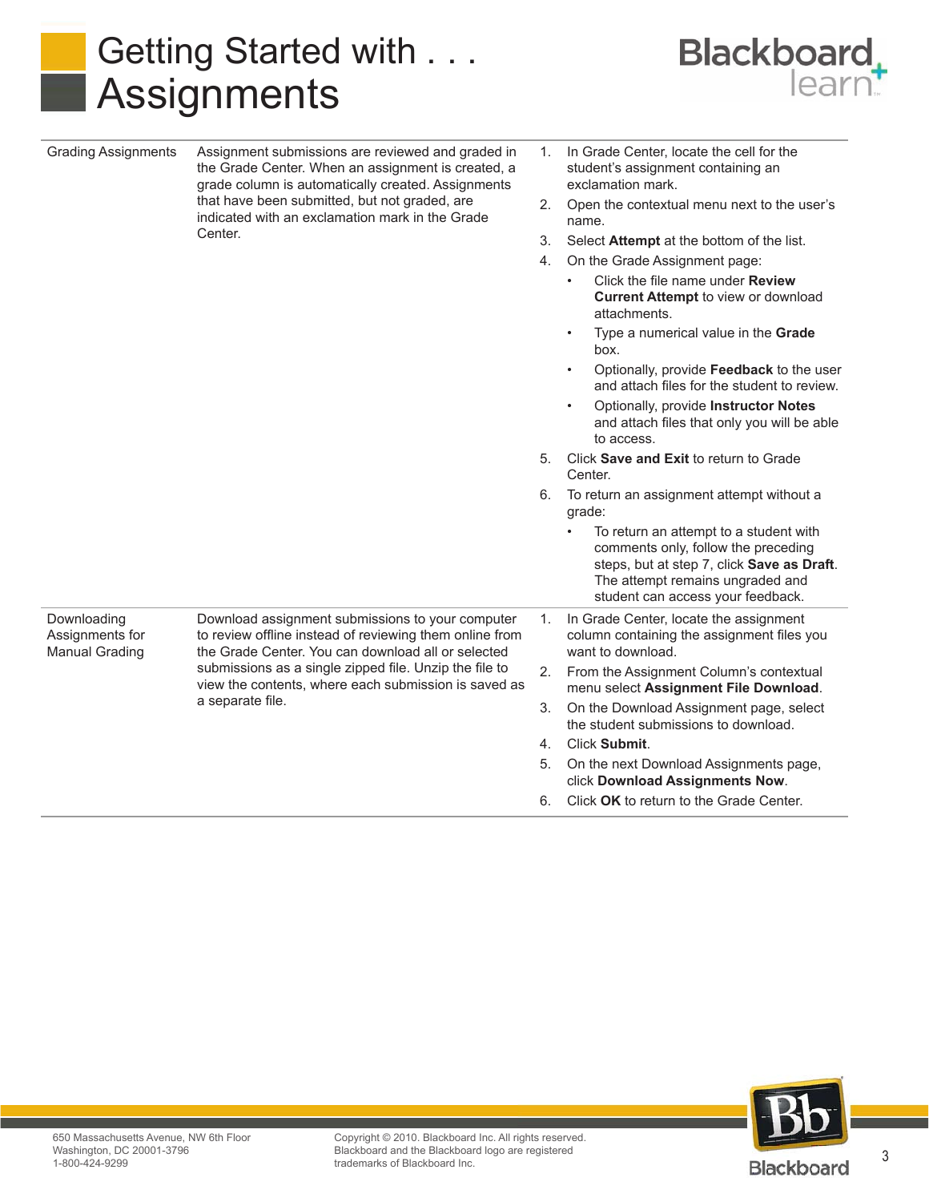## Getting Started with . . . Assignments

Grading Assignments Assignment submissions are reviewed and graded in



1. In Grade Center, locate the cell for the

| that have been submitted, but not graded, are<br>2.<br>Open the contextual menu next to the user's<br>indicated with an exclamation mark in the Grade<br>name.<br>Center.<br>3.<br>Select Attempt at the bottom of the list.<br>4.<br>On the Grade Assignment page:<br>Click the file name under <b>Review</b><br><b>Current Attempt to view or download</b><br>attachments.<br>Type a numerical value in the Grade<br>$\bullet$<br>box.<br>Optionally, provide Feedback to the user<br>$\bullet$<br>and attach files for the student to review.<br>Optionally, provide Instructor Notes<br>$\bullet$<br>and attach files that only you will be able<br>to access.<br>Click Save and Exit to return to Grade<br>5.<br>Center.<br>To return an assignment attempt without a<br>6.<br>grade:<br>To return an attempt to a student with<br>comments only, follow the preceding<br>steps, but at step 7, click Save as Draft.<br>The attempt remains ungraded and<br>student can access your feedback.<br>Downloading<br>Download assignment submissions to your computer<br>In Grade Center, locate the assignment<br>1.<br>Assignments for<br>to review offline instead of reviewing them online from<br>column containing the assignment files you<br>the Grade Center. You can download all or selected<br><b>Manual Grading</b><br>want to download.<br>submissions as a single zipped file. Unzip the file to<br>2.<br>From the Assignment Column's contextual<br>view the contents, where each submission is saved as<br>menu select Assignment File Download.<br>a separate file.<br>3.<br>On the Download Assignment page, select<br>the student submissions to download.<br>Click Submit.<br>4.<br>On the next Download Assignments page,<br>5.<br>click Download Assignments Now.<br>Click OK to return to the Grade Center.<br>6. |  | the Grade Center. When an assignment is created, a<br>grade column is automatically created. Assignments | student's assignment containing an<br>exclamation mark. |
|-------------------------------------------------------------------------------------------------------------------------------------------------------------------------------------------------------------------------------------------------------------------------------------------------------------------------------------------------------------------------------------------------------------------------------------------------------------------------------------------------------------------------------------------------------------------------------------------------------------------------------------------------------------------------------------------------------------------------------------------------------------------------------------------------------------------------------------------------------------------------------------------------------------------------------------------------------------------------------------------------------------------------------------------------------------------------------------------------------------------------------------------------------------------------------------------------------------------------------------------------------------------------------------------------------------------------------------------------------------------------------------------------------------------------------------------------------------------------------------------------------------------------------------------------------------------------------------------------------------------------------------------------------------------------------------------------------------------------------------------------------------------------------------------------------------------------------------------|--|----------------------------------------------------------------------------------------------------------|---------------------------------------------------------|
|                                                                                                                                                                                                                                                                                                                                                                                                                                                                                                                                                                                                                                                                                                                                                                                                                                                                                                                                                                                                                                                                                                                                                                                                                                                                                                                                                                                                                                                                                                                                                                                                                                                                                                                                                                                                                                           |  |                                                                                                          |                                                         |
|                                                                                                                                                                                                                                                                                                                                                                                                                                                                                                                                                                                                                                                                                                                                                                                                                                                                                                                                                                                                                                                                                                                                                                                                                                                                                                                                                                                                                                                                                                                                                                                                                                                                                                                                                                                                                                           |  |                                                                                                          |                                                         |
|                                                                                                                                                                                                                                                                                                                                                                                                                                                                                                                                                                                                                                                                                                                                                                                                                                                                                                                                                                                                                                                                                                                                                                                                                                                                                                                                                                                                                                                                                                                                                                                                                                                                                                                                                                                                                                           |  |                                                                                                          |                                                         |
|                                                                                                                                                                                                                                                                                                                                                                                                                                                                                                                                                                                                                                                                                                                                                                                                                                                                                                                                                                                                                                                                                                                                                                                                                                                                                                                                                                                                                                                                                                                                                                                                                                                                                                                                                                                                                                           |  |                                                                                                          |                                                         |
|                                                                                                                                                                                                                                                                                                                                                                                                                                                                                                                                                                                                                                                                                                                                                                                                                                                                                                                                                                                                                                                                                                                                                                                                                                                                                                                                                                                                                                                                                                                                                                                                                                                                                                                                                                                                                                           |  |                                                                                                          |                                                         |
|                                                                                                                                                                                                                                                                                                                                                                                                                                                                                                                                                                                                                                                                                                                                                                                                                                                                                                                                                                                                                                                                                                                                                                                                                                                                                                                                                                                                                                                                                                                                                                                                                                                                                                                                                                                                                                           |  |                                                                                                          |                                                         |
|                                                                                                                                                                                                                                                                                                                                                                                                                                                                                                                                                                                                                                                                                                                                                                                                                                                                                                                                                                                                                                                                                                                                                                                                                                                                                                                                                                                                                                                                                                                                                                                                                                                                                                                                                                                                                                           |  |                                                                                                          |                                                         |
|                                                                                                                                                                                                                                                                                                                                                                                                                                                                                                                                                                                                                                                                                                                                                                                                                                                                                                                                                                                                                                                                                                                                                                                                                                                                                                                                                                                                                                                                                                                                                                                                                                                                                                                                                                                                                                           |  |                                                                                                          |                                                         |
|                                                                                                                                                                                                                                                                                                                                                                                                                                                                                                                                                                                                                                                                                                                                                                                                                                                                                                                                                                                                                                                                                                                                                                                                                                                                                                                                                                                                                                                                                                                                                                                                                                                                                                                                                                                                                                           |  |                                                                                                          |                                                         |
|                                                                                                                                                                                                                                                                                                                                                                                                                                                                                                                                                                                                                                                                                                                                                                                                                                                                                                                                                                                                                                                                                                                                                                                                                                                                                                                                                                                                                                                                                                                                                                                                                                                                                                                                                                                                                                           |  |                                                                                                          |                                                         |
|                                                                                                                                                                                                                                                                                                                                                                                                                                                                                                                                                                                                                                                                                                                                                                                                                                                                                                                                                                                                                                                                                                                                                                                                                                                                                                                                                                                                                                                                                                                                                                                                                                                                                                                                                                                                                                           |  |                                                                                                          |                                                         |
|                                                                                                                                                                                                                                                                                                                                                                                                                                                                                                                                                                                                                                                                                                                                                                                                                                                                                                                                                                                                                                                                                                                                                                                                                                                                                                                                                                                                                                                                                                                                                                                                                                                                                                                                                                                                                                           |  |                                                                                                          |                                                         |
|                                                                                                                                                                                                                                                                                                                                                                                                                                                                                                                                                                                                                                                                                                                                                                                                                                                                                                                                                                                                                                                                                                                                                                                                                                                                                                                                                                                                                                                                                                                                                                                                                                                                                                                                                                                                                                           |  |                                                                                                          |                                                         |
|                                                                                                                                                                                                                                                                                                                                                                                                                                                                                                                                                                                                                                                                                                                                                                                                                                                                                                                                                                                                                                                                                                                                                                                                                                                                                                                                                                                                                                                                                                                                                                                                                                                                                                                                                                                                                                           |  |                                                                                                          |                                                         |
|                                                                                                                                                                                                                                                                                                                                                                                                                                                                                                                                                                                                                                                                                                                                                                                                                                                                                                                                                                                                                                                                                                                                                                                                                                                                                                                                                                                                                                                                                                                                                                                                                                                                                                                                                                                                                                           |  |                                                                                                          |                                                         |
|                                                                                                                                                                                                                                                                                                                                                                                                                                                                                                                                                                                                                                                                                                                                                                                                                                                                                                                                                                                                                                                                                                                                                                                                                                                                                                                                                                                                                                                                                                                                                                                                                                                                                                                                                                                                                                           |  |                                                                                                          |                                                         |



Copyright © 2010. Blackboard Inc. All rights reserved. Blackboard and the Blackboard logo are registered trademarks of Blackboard Inc.

3